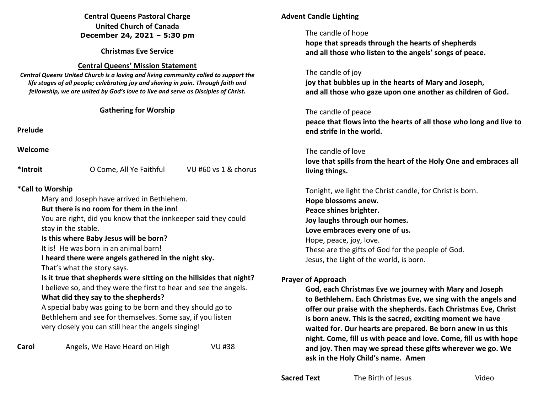#### **Central Queens Pastoral Charge United Church of Canada December 24, 2021 – 5:30 pm**

**Christmas Eve Service** 

## **Central Queens' Mission Statement**

*Central Queens United Church is a loving and living community called to support the life stages of all people; celebrating joy and sharing in pain. Through faith and fellowship, we are united by God's love to live and serve as Disciples of Christ***.** 

**Gathering for Worship** 

**Prelude** 

**Welcome** 

**\*Introit** O Come, All Ye Faithful VU #60 vs 1 & chorus

## **\*Call to Worship**

Mary and Joseph have arrived in Bethlehem.

## **But there is no room for them in the inn!**

You are right, did you know that the innkeeper said they could stay in the stable.

## **Is this where Baby Jesus will be born?**

It is! He was born in an animal barn!

## **I heard there were angels gathered in the night sky.**

That's what the story says.

# **Is it true that shepherds were sitting on the hillsides that night?**

I believe so, and they were the first to hear and see the angels.

# **What did they say to the shepherds?**

 A special baby was going to be born and they should go to Bethlehem and see for themselves. Some say, if you listen very closely you can still hear the angels singing!

**Carol** Angels, We Have Heard on High VU #38

# **Advent Candle Lighting**

## The candle of hope

 **hope that spreads through the hearts of shepherds and all those who listen to the angels' songs of peace.** 

The candle of joy

 **joy that bubbles up in the hearts of Mary and Joseph, and all those who gaze upon one another as children of God.** 

# The candle of peace

**peace that flows into the hearts of all those who long and live to end strife in the world.** 

# The candle of love

**love that spills from the heart of the Holy One and embraces all living things.** 

 Tonight, we light the Christ candle, for Christ is born.  **Hope blossoms anew. Peace shines brighter. Joy laughs through our homes. Love embraces every one of us.**  Hope, peace, joy, love. These are the gifts of God for the people of God. Jesus, the Light of the world, is born.

# **Prayer of Approach**

 **God, each Christmas Eve we journey with Mary and Joseph to Bethlehem. Each Christmas Eve, we sing with the angels and offer our praise with the shepherds. Each Christmas Eve, Christ is born anew. This is the sacred, exciting moment we have waited for. Our hearts are prepared. Be born anew in us this night. Come, fill us with peace and love. Come, fill us with hope and joy. Then may we spread these gifts wherever we go. We ask in the Holy Child's name. Amen**